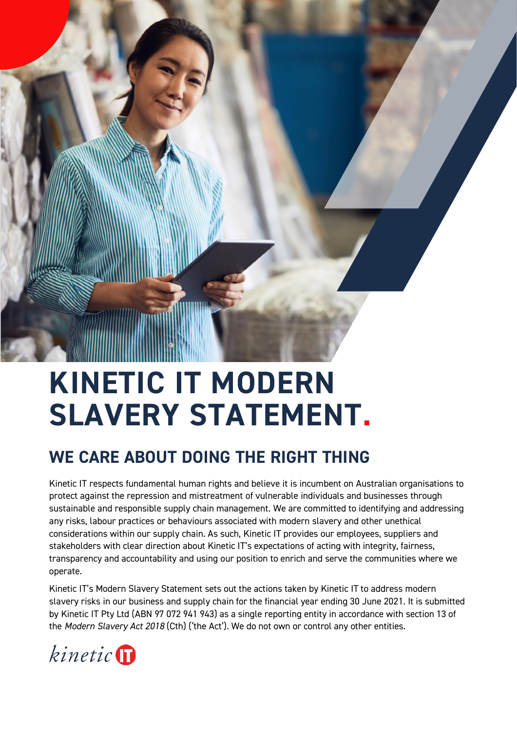

# **KINETIC IT MODERN SLAVERY STATEMENT.**

# **WE CARE ABOUT DOING THE RIGHT THING**

Kinetic IT respects fundamental human rights and believe it is incumbent on Australian organisations to protect against the repression and mistreatment of vulnerable individuals and businesses through sustainable and responsible supply chain management. We are committed to identifying and addressing any risks, labour practices or behaviours associated with modern slavery and other unethical considerations within our supply chain. As such, Kinetic IT provides our employees, suppliers and stakeholders with clear direction about Kinetic IT's expectations of acting with integrity, fairness, transparency and accountability and using our position to enrich and serve the communities where we operate.

Kinetic IT's Modern Slavery Statement sets out the actions taken by Kinetic IT to address modern slavery risks in our business and supply chain for the financial year ending 30 June 2021. It is submitted by Kinetic IT Pty Ltd (ABN 97 072 941 943) as a single reporting entity in accordance with section 13 of the *Modern Slavery Act 2018* (Cth) ('the Act'). We do not own or control any other entities.

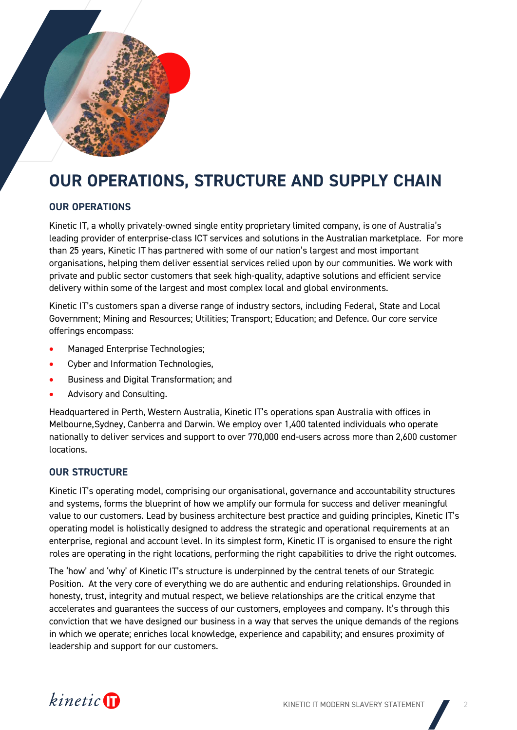

# **OUR OPERATIONS, STRUCTURE AND SUPPLY CHAIN**

## **OUR OPERATIONS**

Kinetic IT, a wholly privately-owned single entity proprietary limited company, is one of Australia's leading provider of enterprise-class ICT services and solutions in the Australian marketplace. For more than 25 years, Kinetic IT has partnered with some of our nation's largest and most important organisations, helping them deliver essential services relied upon by our communities. We work with private and public sector customers that seek high-quality, adaptive solutions and efficient service delivery within some of the largest and most complex local and global environments.

Kinetic IT's customers span a diverse range of industry sectors, including Federal, State and Local Government; Mining and Resources; Utilities; Transport; Education; and Defence. Our core service offerings encompass:

- Managed Enterprise Technologies;
- Cyber and Information Technologies,
- Business and Digital Transformation; and
- Advisory and Consulting.

Headquartered in Perth, Western Australia, Kinetic IT's operations span Australia with offices in Melbourne,Sydney, Canberra and Darwin. We employ over 1,400 talented individuals who operate nationally to deliver services and support to over 770,000 end-users across more than 2,600 customer locations.

#### **OUR STRUCTURE**

Kinetic IT's operating model, comprising our organisational, governance and accountability structures and systems, forms the blueprint of how we amplify our formula for success and deliver meaningful value to our customers. Lead by business architecture best practice and guiding principles, Kinetic IT's operating model is holistically designed to address the strategic and operational requirements at an enterprise, regional and account level. In its simplest form, Kinetic IT is organised to ensure the right roles are operating in the right locations, performing the right capabilities to drive the right outcomes.

The 'how' and 'why' of Kinetic IT's structure is underpinned by the central tenets of our Strategic Position. At the very core of everything we do are authentic and enduring relationships. Grounded in honesty, trust, integrity and mutual respect, we believe relationships are the critical enzyme that accelerates and guarantees the success of our customers, employees and company. It's through this conviction that we have designed our business in a way that serves the unique demands of the regions in which we operate; enriches local knowledge, experience and capability; and ensures proximity of leadership and support for our customers.

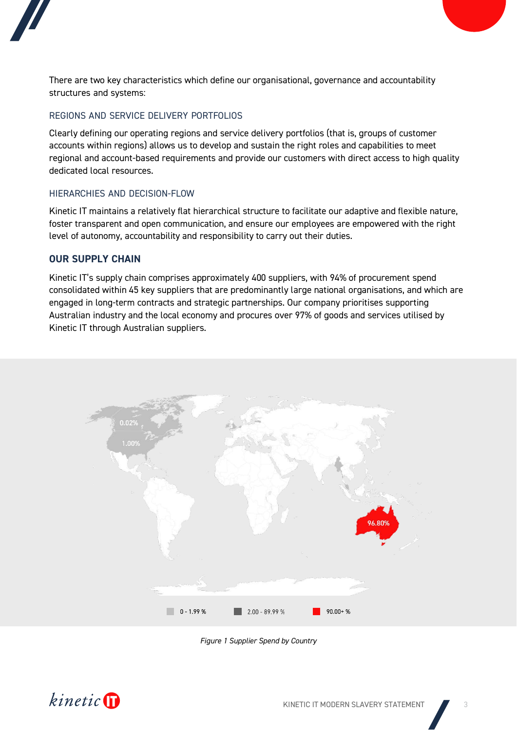



#### REGIONS AND SERVICE DELIVERY PORTFOLIOS

Clearly defining our operating regions and service delivery portfolios (that is, groups of customer accounts within regions) allows us to develop and sustain the right roles and capabilities to meet regional and account-based requirements and provide our customers with direct access to high quality dedicated local resources.

#### HIERARCHIES AND DECISION-FLOW

Kinetic IT maintains a relatively flat hierarchical structure to facilitate our adaptive and flexible nature, foster transparent and open communication, and ensure our employees are empowered with the right level of autonomy, accountability and responsibility to carry out their duties.

#### **OUR SUPPLY CHAIN**

Kinetic IT's supply chain comprises approximately 400 suppliers, with 94% of procurement spend consolidated within 45 key suppliers that are predominantly large national organisations, and which are engaged in long-term contracts and strategic partnerships. Our company prioritises supporting Australian industry and the local economy and procures over 97% of goods and services utilised by Kinetic IT through Australian suppliers.



*Figure 1 Supplier Spend by Country*

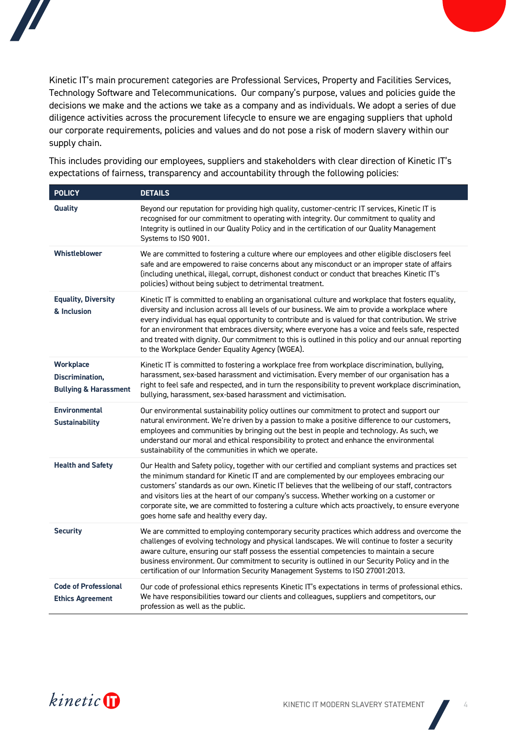



This includes providing our employees, suppliers and stakeholders with clear direction of Kinetic IT's expectations of fairness, transparency and accountability through the following policies:

| <b>POLICY</b>                                                    | <b>DETAILS</b>                                                                                                                                                                                                                                                                                                                                                                                                                                                                                                                                                             |  |
|------------------------------------------------------------------|----------------------------------------------------------------------------------------------------------------------------------------------------------------------------------------------------------------------------------------------------------------------------------------------------------------------------------------------------------------------------------------------------------------------------------------------------------------------------------------------------------------------------------------------------------------------------|--|
| <b>Quality</b>                                                   | Beyond our reputation for providing high quality, customer-centric IT services, Kinetic IT is<br>recognised for our commitment to operating with integrity. Our commitment to quality and<br>Integrity is outlined in our Quality Policy and in the certification of our Quality Management<br>Systems to ISO 9001.                                                                                                                                                                                                                                                        |  |
| <b>Whistleblower</b>                                             | We are committed to fostering a culture where our employees and other eligible disclosers feel<br>safe and are empowered to raise concerns about any misconduct or an improper state of affairs<br>(including unethical, illegal, corrupt, dishonest conduct or conduct that breaches Kinetic IT's<br>policies) without being subject to detrimental treatment.                                                                                                                                                                                                            |  |
| <b>Equality, Diversity</b><br>& Inclusion                        | Kinetic IT is committed to enabling an organisational culture and workplace that fosters equality,<br>diversity and inclusion across all levels of our business. We aim to provide a workplace where<br>every individual has equal opportunity to contribute and is valued for that contribution. We strive<br>for an environment that embraces diversity; where everyone has a voice and feels safe, respected<br>and treated with dignity. Our commitment to this is outlined in this policy and our annual reporting<br>to the Workplace Gender Equality Agency (WGEA). |  |
| Workplace<br>Discrimination,<br><b>Bullying &amp; Harassment</b> | Kinetic IT is committed to fostering a workplace free from workplace discrimination, bullying,<br>harassment, sex-based harassment and victimisation. Every member of our organisation has a<br>right to feel safe and respected, and in turn the responsibility to prevent workplace discrimination,<br>bullying, harassment, sex-based harassment and victimisation.                                                                                                                                                                                                     |  |
| <b>Environmental</b><br><b>Sustainability</b>                    | Our environmental sustainability policy outlines our commitment to protect and support our<br>natural environment. We're driven by a passion to make a positive difference to our customers,<br>employees and communities by bringing out the best in people and technology. As such, we<br>understand our moral and ethical responsibility to protect and enhance the environmental<br>sustainability of the communities in which we operate.                                                                                                                             |  |
| <b>Health and Safety</b>                                         | Our Health and Safety policy, together with our certified and compliant systems and practices set<br>the minimum standard for Kinetic IT and are complemented by our employees embracing our<br>customers' standards as our own. Kinetic IT believes that the wellbeing of our staff, contractors<br>and visitors lies at the heart of our company's success. Whether working on a customer or<br>corporate site, we are committed to fostering a culture which acts proactively, to ensure everyone<br>goes home safe and healthy every day.                              |  |
| <b>Security</b>                                                  | We are committed to employing contemporary security practices which address and overcome the<br>challenges of evolving technology and physical landscapes. We will continue to foster a security<br>aware culture, ensuring our staff possess the essential competencies to maintain a secure<br>business environment. Our commitment to security is outlined in our Security Policy and in the<br>certification of our Information Security Management Systems to ISO 27001:2013.                                                                                         |  |
| <b>Code of Professional</b><br><b>Ethics Agreement</b>           | Our code of professional ethics represents Kinetic IT's expectations in terms of professional ethics.<br>We have responsibilities toward our clients and colleagues, suppliers and competitors, our<br>profession as well as the public.                                                                                                                                                                                                                                                                                                                                   |  |

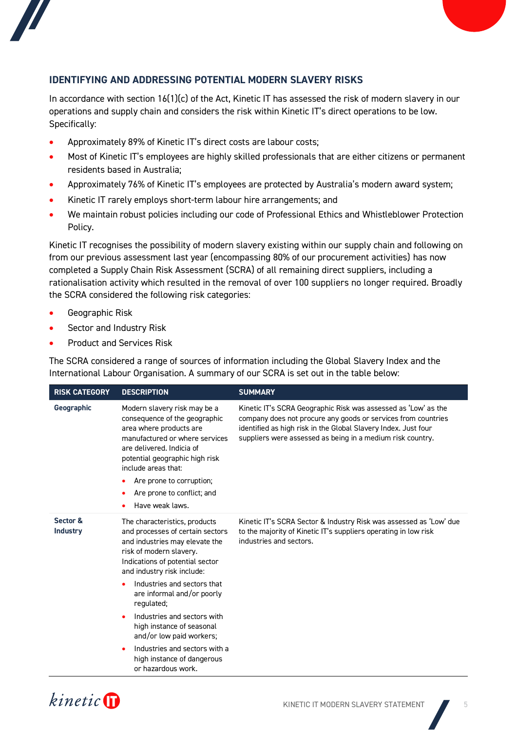



### **IDENTIFYING AND ADDRESSING POTENTIAL MODERN SLAVERY RISKS**

In accordance with section 16(1)(c) of the Act, Kinetic IT has assessed the risk of modern slavery in our operations and supply chain and considers the risk within Kinetic IT's direct operations to be low. Specifically:

- Approximately 89% of Kinetic IT's direct costs are labour costs;
- Most of Kinetic IT's employees are highly skilled professionals that are either citizens or permanent residents based in Australia;
- Approximately 76% of Kinetic IT's employees are protected by Australia's modern award system;
- Kinetic IT rarely employs short-term labour hire arrangements; and
- We maintain robust policies including our code of Professional Ethics and Whistleblower Protection Policy.

Kinetic IT recognises the possibility of modern slavery existing within our supply chain and following on from our previous assessment last year (encompassing 80% of our procurement activities) has now completed a Supply Chain Risk Assessment (SCRA) of all remaining direct suppliers, including a rationalisation activity which resulted in the removal of over 100 suppliers no longer required. Broadly the SCRA considered the following risk categories:

- Geographic Risk
- Sector and Industry Risk
- Product and Services Risk

The SCRA considered a range of sources of information including the Global Slavery Index and the International Labour Organisation. A summary of our SCRA is set out in the table below:

| <b>RISK CATEGORY</b>        | <b>DESCRIPTION</b>                                                                                                                                                                                                                                                                                 | <b>SUMMARY</b>                                                                                                                                                                                                                                                  |
|-----------------------------|----------------------------------------------------------------------------------------------------------------------------------------------------------------------------------------------------------------------------------------------------------------------------------------------------|-----------------------------------------------------------------------------------------------------------------------------------------------------------------------------------------------------------------------------------------------------------------|
| Geographic                  | Modern slavery risk may be a<br>consequence of the geographic<br>area where products are<br>manufactured or where services<br>are delivered. Indicia of<br>potential geographic high risk<br>include areas that:<br>Are prone to corruption;<br>٠<br>Are prone to conflict; and<br>Have weak laws. | Kinetic IT's SCRA Geographic Risk was assessed as 'Low' as the<br>company does not procure any goods or services from countries<br>identified as high risk in the Global Slavery Index. Just four<br>suppliers were assessed as being in a medium risk country. |
| Sector &<br><b>Industry</b> | The characteristics, products<br>and processes of certain sectors<br>and industries may elevate the<br>risk of modern slavery.<br>Indications of potential sector<br>and industry risk include:<br>Industries and sectors that<br>are informal and/or poorly<br>regulated;                         | Kinetic IT's SCRA Sector & Industry Risk was assessed as 'Low' due<br>to the majority of Kinetic IT's suppliers operating in low risk<br>industries and sectors.                                                                                                |
|                             | Industries and sectors with<br>high instance of seasonal<br>and/or low paid workers;                                                                                                                                                                                                               |                                                                                                                                                                                                                                                                 |
|                             | Industries and sectors with a<br>high instance of dangerous<br>or hazardous work.                                                                                                                                                                                                                  |                                                                                                                                                                                                                                                                 |

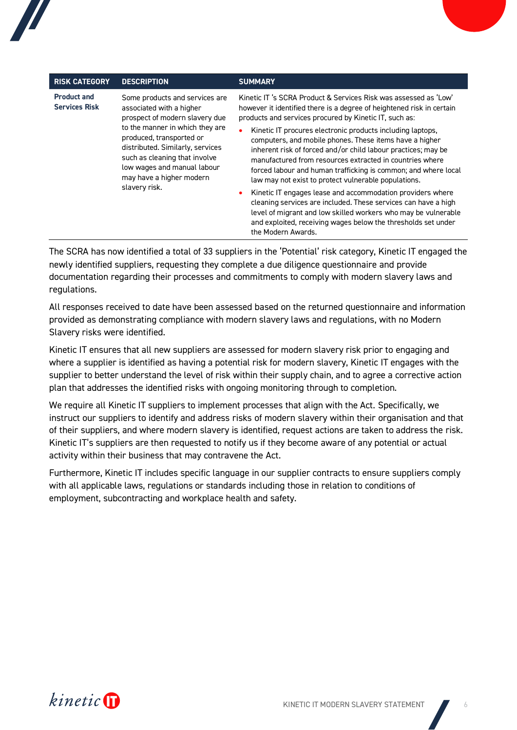| <b>RISK CATEGORY</b>                       | <b>DESCRIPTION</b>                                                                                                                                                                                                                                                                                           | <b>SUMMARY</b>                                                                                                                                                                                                                                                                                                                                                               |
|--------------------------------------------|--------------------------------------------------------------------------------------------------------------------------------------------------------------------------------------------------------------------------------------------------------------------------------------------------------------|------------------------------------------------------------------------------------------------------------------------------------------------------------------------------------------------------------------------------------------------------------------------------------------------------------------------------------------------------------------------------|
| <b>Product and</b><br><b>Services Risk</b> | Some products and services are<br>associated with a higher<br>prospect of modern slavery due<br>to the manner in which they are<br>produced, transported or<br>distributed. Similarly, services<br>such as cleaning that involve<br>low wages and manual labour<br>may have a higher modern<br>slavery risk. | Kinetic IT 's SCRA Product & Services Risk was assessed as 'Low'<br>however it identified there is a degree of heightened risk in certain<br>products and services procured by Kinetic IT, such as:                                                                                                                                                                          |
|                                            |                                                                                                                                                                                                                                                                                                              | Kinetic IT procures electronic products including laptops.<br>computers, and mobile phones. These items have a higher<br>inherent risk of forced and/or child labour practices; may be<br>manufactured from resources extracted in countries where<br>forced labour and human trafficking is common; and where local<br>law may not exist to protect vulnerable populations. |
|                                            |                                                                                                                                                                                                                                                                                                              | Kinetic IT engages lease and accommodation providers where<br>cleaning services are included. These services can have a high<br>level of migrant and low skilled workers who may be vulnerable<br>and exploited, receiving wages below the thresholds set under<br>the Modern Awards.                                                                                        |

The SCRA has now identified a total of 33 suppliers in the 'Potential' risk category, Kinetic IT engaged the newly identified suppliers, requesting they complete a due diligence questionnaire and provide documentation regarding their processes and commitments to comply with modern slavery laws and regulations.

All responses received to date have been assessed based on the returned questionnaire and information provided as demonstrating compliance with modern slavery laws and regulations, with no Modern Slavery risks were identified.

Kinetic IT ensures that all new suppliers are assessed for modern slavery risk prior to engaging and where a supplier is identified as having a potential risk for modern slavery, Kinetic IT engages with the supplier to better understand the level of risk within their supply chain, and to agree a corrective action plan that addresses the identified risks with ongoing monitoring through to completion.

We require all Kinetic IT suppliers to implement processes that align with the Act. Specifically, we instruct our suppliers to identify and address risks of modern slavery within their organisation and that of their suppliers, and where modern slavery is identified, request actions are taken to address the risk. Kinetic IT's suppliers are then requested to notify us if they become aware of any potential or actual activity within their business that may contravene the Act.

Furthermore, Kinetic IT includes specific language in our supplier contracts to ensure suppliers comply with all applicable laws, regulations or standards including those in relation to conditions of employment, subcontracting and workplace health and safety.